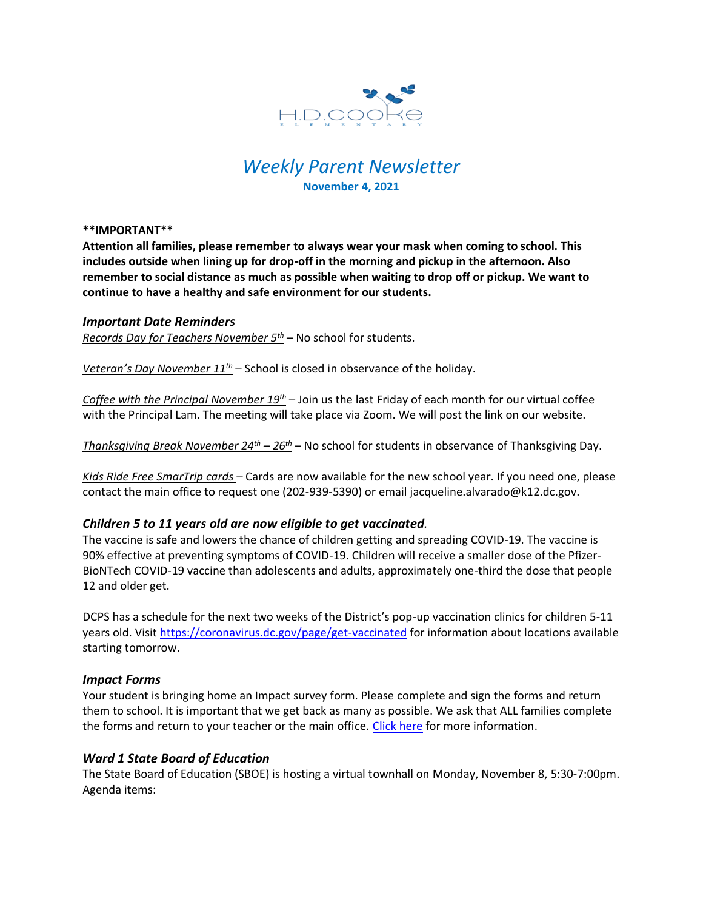

# *Weekly Parent Newsletter* **November 4, 2021**

**\*\*IMPORTANT\*\*** 

**Attention all families, please remember to always wear your mask when coming to school. This includes outside when lining up for drop-off in the morning and pickup in the afternoon. Also remember to social distance as much as possible when waiting to drop off or pickup. We want to continue to have a healthy and safe environment for our students.** 

#### *Important Date Reminders*

*Records Day for Teachers November 5th* – No school for students.

*Veteran's Day November 11th* – School is closed in observance of the holiday.

*Coffee with the Principal November 19th* – Join us the last Friday of each month for our virtual coffee with the Principal Lam. The meeting will take place via Zoom. We will post the link on our website.

*Thanksgiving Break November 24th – 26th* – No school for students in observance of Thanksgiving Day.

*Kids Ride Free SmarTrip cards* – Cards are now available for the new school year. If you need one, please contact the main office to request one (202-939-5390) or email jacqueline.alvarado@k12.dc.gov.

#### *Children 5 to 11 years old are now eligible to get vaccinated.*

The vaccine is safe and lowers the chance of children getting and spreading COVID-19. The vaccine is 90% effective at preventing symptoms of COVID-19. Children will receive a smaller dose of the Pfizer-BioNTech COVID-19 vaccine than adolescents and adults, approximately one-third the dose that people 12 and older get.

DCPS has a schedule for the next two weeks of the District's pop-up vaccination clinics for children 5-11 years old. Visit<https://coronavirus.dc.gov/page/get-vaccinated> for information about locations available starting tomorrow.

#### *Impact Forms*

Your student is bringing home an Impact survey form. Please complete and sign the forms and return them to school. It is important that we get back as many as possible. We ask that ALL families complete the forms and return to your teacher or the main office. [Click here](https://www.hdcookeschool.org/newsletters) for more information.

#### *Ward 1 State Board of Education*

The State Board of Education (SBOE) is hosting a virtual townhall on Monday, November 8, 5:30-7:00pm. Agenda items: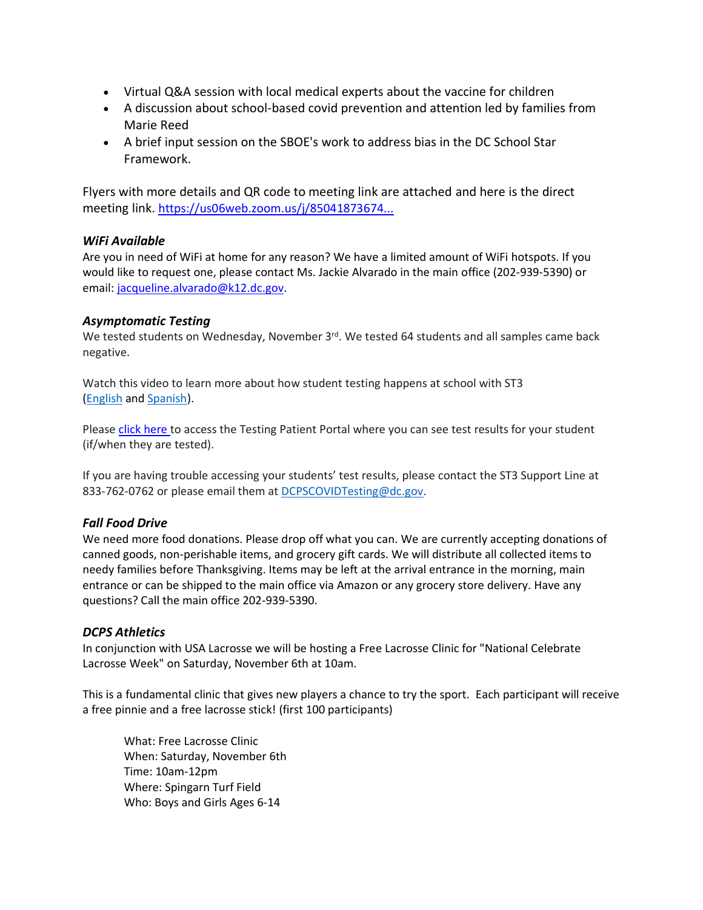- Virtual Q&A session with local medical experts about the vaccine for children
- A discussion about school-based covid prevention and attention led by families from Marie Reed
- A brief input session on the SBOE's work to address bias in the DC School Star Framework.

Flyers with more details and QR code to meeting link are attached and here is the direct meeting link. [https://us06web.zoom.us/j/85041873674...](https://us06web.zoom.us/j/85041873674?pwd=bTNqN3VNTlRFdHlORG1HSmNXcTRZQT09&fbclid=IwAR2SmyoiRFt32c5YsywtSMOmmpXOrldOPTqquM9Pnbc0Je5a6YslP25E_bA)

## *WiFi Available*

Are you in need of WiFi at home for any reason? We have a limited amount of WiFi hotspots. If you would like to request one, please contact Ms. Jackie Alvarado in the main office (202-939-5390) or email: [jacqueline.alvarado@k12.dc.gov.](mailto:jacqueline.alvarado@k12.dc.gov)

## *Asymptomatic Testing*

We tested students on Wednesday, November 3<sup>rd</sup>. We tested 64 students and all samples came back negative.

Watch this video to learn more about how student testing happens at school with ST3 [\(English](https://urldefense.proofpoint.com/v2/url?u=https-3A__rise.articulate.com_share_-2Dq6MdIeo2V42boWuOGTu8i4-2DcT9E-5Fpjy-23_lessons_QicMYr-5FNcrCg54C5EtRyuC-2DwHJjQQVR2&d=DwMFAg&c=euGZstcaTDllvimEN8b7jXrwqOf-v5A_CdpgnVfiiMM&r=r7MsakikdNxOh-N_Ssj9mdJUMRjWvhYw18Eqx42UE40&m=-vbhK74dxdF3UGFM3KXX_Mk-PGWZWrPZHiFLh_rcYM0&s=470EC6i3UbApDRfaxDIuMzBPFqhzK2pNSc-krTjYzOw&e=) and [Spanish\)](https://urldefense.proofpoint.com/v2/url?u=https-3A__youtu.be_PRaXjkFlGGQ&d=DwMFAg&c=euGZstcaTDllvimEN8b7jXrwqOf-v5A_CdpgnVfiiMM&r=r7MsakikdNxOh-N_Ssj9mdJUMRjWvhYw18Eqx42UE40&m=-vbhK74dxdF3UGFM3KXX_Mk-PGWZWrPZHiFLh_rcYM0&s=yCXksETv2O2ZulcBl9cazNcOvmB9Inp-drZAlbuFkaw&e=).

Please click [here](https://shieldt3k12portal.pointnclick.com/login_login.aspx) to access the Testing Patient Portal where you can see test results for your student (if/when they are tested).

If you are having trouble accessing your students' test results, please contact the ST3 Support Line at 833-762-0762 or please email them at [DCPSCOVIDTesting@dc.gov.](mailto:DCPSCOVIDTesting@dc.gov)

## *Fall Food Drive*

We need more food donations. Please drop off what you can. We are currently accepting donations of canned goods, non-perishable items, and grocery gift cards. We will distribute all collected items to needy families before Thanksgiving. Items may be left at the arrival entrance in the morning, main entrance or can be shipped to the main office via Amazon or any grocery store delivery. Have any questions? Call the main office 202-939-5390.

## *DCPS Athletics*

In conjunction with USA Lacrosse we will be hosting a Free Lacrosse Clinic for "National Celebrate Lacrosse Week" on Saturday, November 6th at 10am.

This is a fundamental clinic that gives new players a chance to try the sport. Each participant will receive a free pinnie and a free lacrosse stick! (first 100 participants)

What: Free Lacrosse Clinic When: Saturday, November 6th Time: 10am-12pm Where: Spingarn Turf Field Who: Boys and Girls Ages 6-14